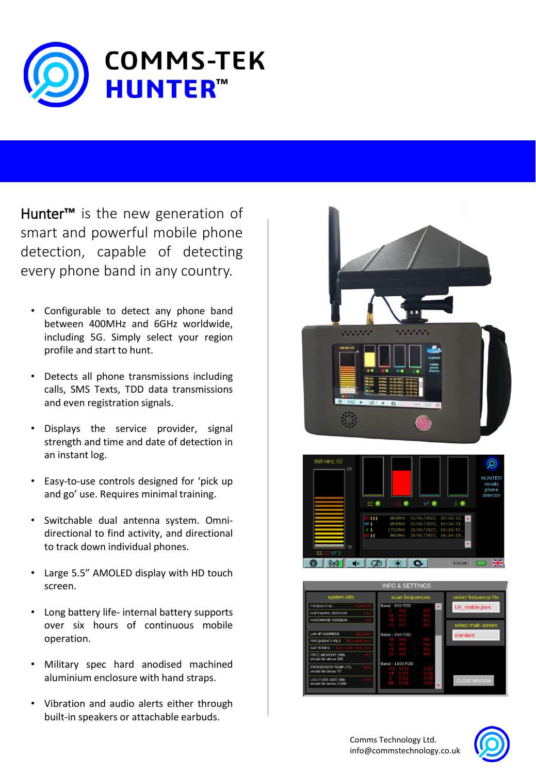

Hunter**™** is the new generation of smart and powerful mobile phone detection, capable of detecting every phone band in any country.

- Configurable to detect any phone band between 400MHz and 6GHz worldwide, including 5G. Simply select your region profile and start to hunt.
- Detects all phone transmissions including calls, SMS Texts, TDD data transmissions and even registration signals.
- Displays the service provider, signal strength and time and date of detection in an instant log.
- Easy-to-use controls designed for 'pick up and go' use. Requires minimal training.
- Switchable dual antenna system. Omnidirectional to find activity, and directional to track down individual phones.
- Large 5.5" AMOLED display with HD touch screen.
- Long battery life- internal battery supports over six hours of continuous mobile operation.
- Military spec hard anodised machined aluminium enclosure with hand straps.
- Vibration and audio alerts either through built-in speakers or attachable earbuds.